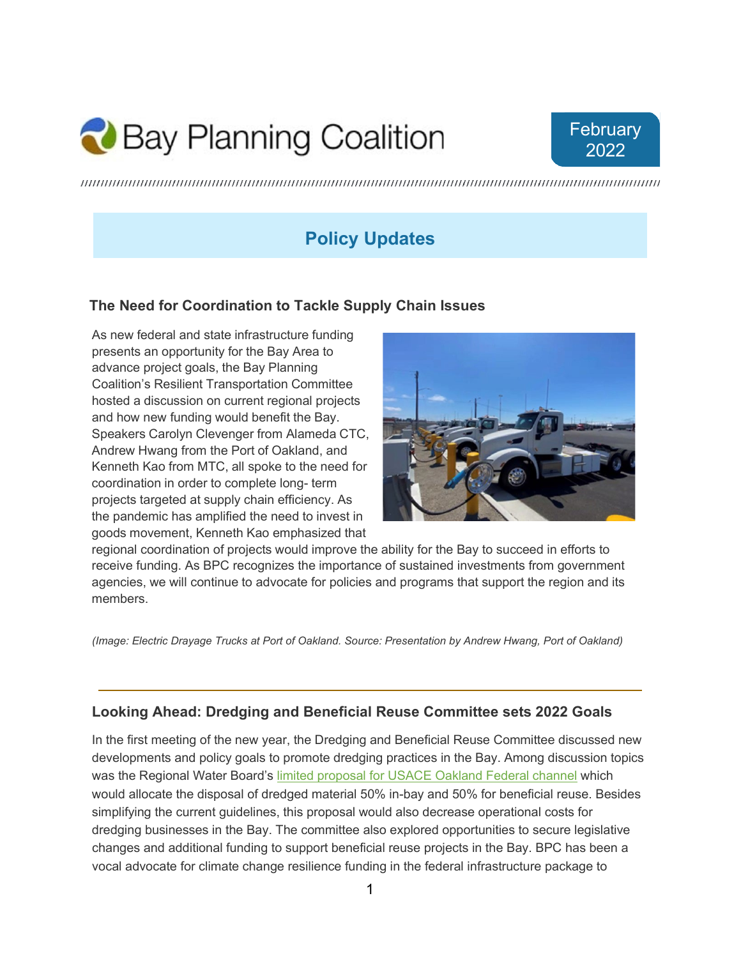# Bay Planning Coalition



## **Policy Updates**

#### **The Need for Coordination to Tackle Supply Chain Issues**

As new federal and state infrastructure funding presents an opportunity for the Bay Area to advance project goals, the Bay Planning Coalition's Resilient Transportation Committee hosted a discussion on current regional projects and how new funding would benefit the Bay. Speakers Carolyn Clevenger from Alameda CTC, Andrew Hwang from the Port of Oakland, and Kenneth Kao from MTC, all spoke to the need for coordination in order to complete long- term projects targeted at supply chain efficiency. As the pandemic has amplified the need to invest in goods movement, Kenneth Kao emphasized that



regional coordination of projects would improve the ability for the Bay to succeed in efforts to receive funding. As BPC recognizes the importance of sustained investments from government agencies, we will continue to advocate for policies and programs that support the region and its members.

*(Image: Electric Drayage Trucks at Port of Oakland. Source: Presentation by Andrew Hwang, Port of Oakland)*

#### **Looking Ahead: Dredging and Beneficial Reuse Committee sets 2022 Goals**

In the first meeting of the new year, the Dredging and Beneficial Reuse Committee discussed new developments and policy goals to promote dredging practices in the Bay. Among discussion topics was the Regional Water Board's limited proposal for USACE Oakland Federal channel which would allocate the disposal of dredged material 50% in-bay and 50% for beneficial reuse. Besides simplifying the current guidelines, this proposal would also decrease operational costs for dredging businesses in the Bay. The committee also explored opportunities to secure legislative changes and additional funding to support beneficial reuse projects in the Bay. BPC has been a vocal advocate for climate change resilience funding in the federal infrastructure package to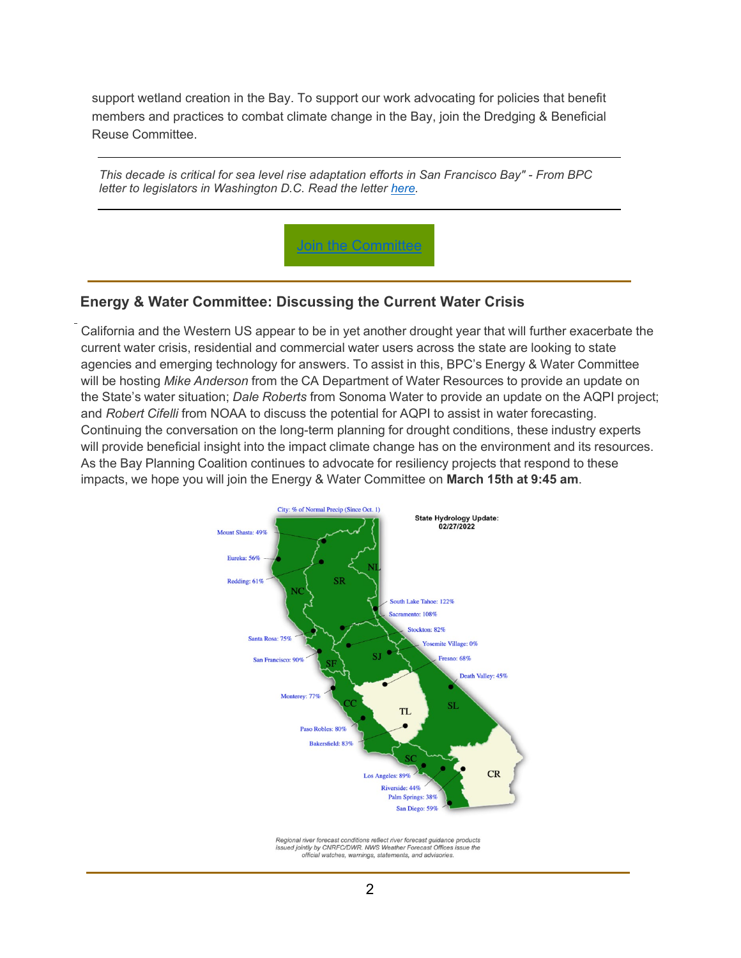support wetland creation in the Bay. To support our work advocating for policies that benefit members and practices to combat climate change in the Bay, join the Dredging & Beneficial Reuse Committee.

*This decade is critical for sea level rise adaptation efforts in San Francisco Bay" - From BPC letter to legislators in Washington D.C. Read the letter [here.](https://www.dropbox.com/s/r4lymtmmroauhdp/WRDA%20Coalition%2012.13.pdf?dl=0)* 



#### **Energy & Water Committee: Discussing the Current Water Crisis**

California and the Western US appear to be in yet another drought year that will further exacerbate the current water crisis, residential and commercial water users across the state are looking to state agencies and emerging technology for answers. To assist in this, BPC's Energy & Water Committee will be hosting *Mike Anderson* from the CA Department of Water Resources to provide an update on the State's water situation; *Dale Roberts* from Sonoma Water to provide an update on the AQPI project; and *Robert Cifelli* from NOAA to discuss the potential for AQPI to assist in water forecasting. Continuing the conversation on the long-term planning for drought conditions, these industry experts will provide beneficial insight into the impact climate change has on the environment and its resources. As the Bay Planning Coalition continues to advocate for resiliency projects that respond to these impacts, we hope you will join the Energy & Water Committee on **March 15th at 9:45 am**.



Regional river forecast conditions reflect river forecast guidance products issued jointly by CNRFC/DWR. NWS Weather Forecast Offices issue the official watches, wa mings, statements, and advis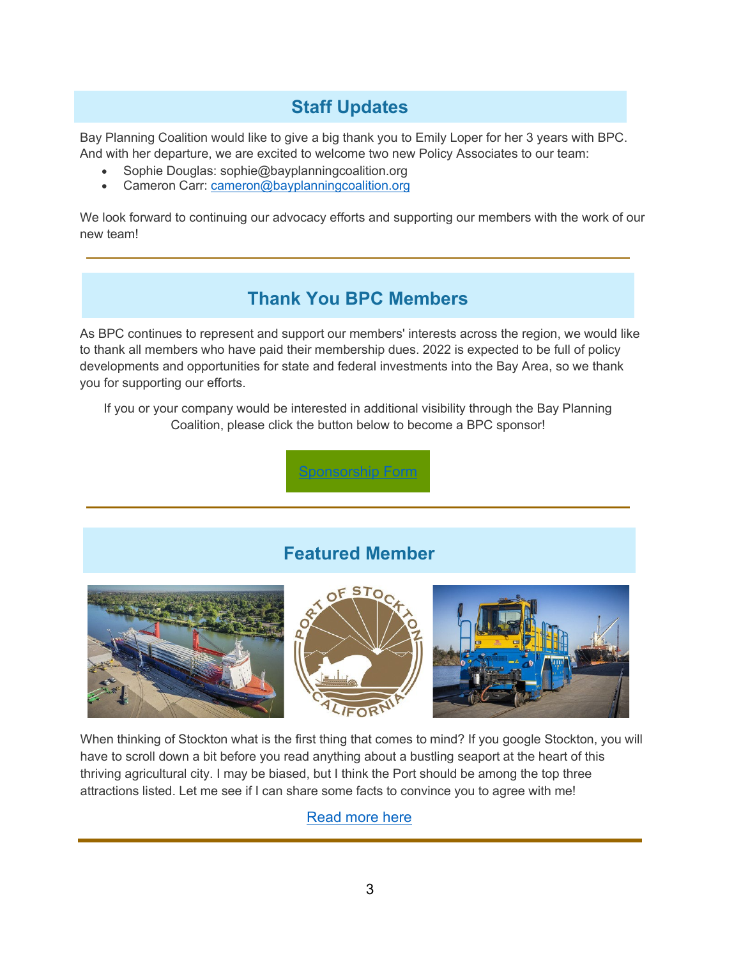## **Staff Updates**

Bay Planning Coalition would like to give a big thank you to Emily Loper for her 3 years with BPC. And with her departure, we are excited to welcome two new Policy Associates to our team:

- Sophie Douglas: [sophie@bayplanningcoalition.org](mailto:sophie@bayplanningcoalition.org)
- Cameron Carr: [cameron@bayplanningcoalition.org](mailto:cameron@bayplanningcoalition.org)

We look forward to continuing our advocacy efforts and supporting our members with the work of our new team!

### **Thank You BPC Members**

As BPC continues to represent and support our members' interests across the region, we would like to thank all members who have paid their membership dues. 2022 is expected to be full of policy developments and opportunities for state and federal investments into the Bay Area, so we thank you for supporting our efforts.

If you or your company would be interested in additional visibility through the Bay Planning Coalition, please click the button below to become a BPC sponsor!

**Sponsition Form** 

## **Featured Member**



When thinking of Stockton what is the first thing that comes to mind? If you google Stockton, you will have to scroll down a bit before you read anything about a bustling seaport at the heart of this thriving agricultural city. I may be biased, but I think the Port should be among the top three attractions listed. Let me see if I can share some facts to convince you to agree with me!

[Read more here](https://www.dropbox.com/s/0yudq9qerj6nrl7/Port%20of%20Stockton%20.pdf?dl=0)